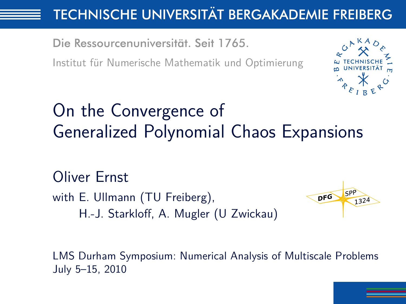# **TECHNISCHE UNIVERSITÄT BERGAKADEMIE FREIBERG**

Die Ressourcenuniversität. Seit 1765.

Institut für Numerische Mathematik und Optimierung



# On the Convergence of Generalized Polynomial Chaos Expansions

Oliver Ernst with E. Ullmann (TU Freiberg), H.-J. Starkloff, A. Mugler (U Zwickau)



<span id="page-0-0"></span>LMS Durham Symposium: Numerical Analysis of Multiscale Problems July 5–15, 2010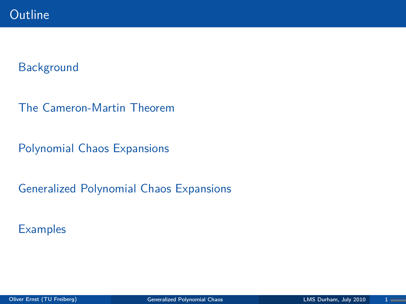

#### **[Background](#page-2-0)**

[The Cameron-Martin Theorem](#page-7-0)

[Polynomial Chaos Expansions](#page-11-0)

[Generalized Polynomial Chaos Expansions](#page-16-0)

**[Examples](#page-24-0)**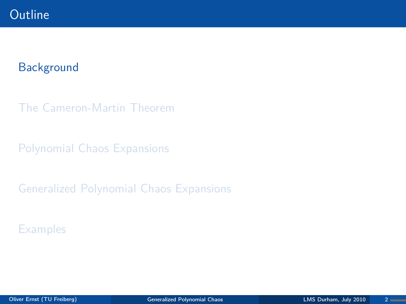## **Outline**

#### **[Background](#page-2-0)**

[The Cameron-Martin Theorem](#page-7-0)

[Polynomial Chaos Expansions](#page-11-0)

[Generalized Polynomial Chaos Expansions](#page-16-0)

<span id="page-2-0"></span>**[Examples](#page-24-0)**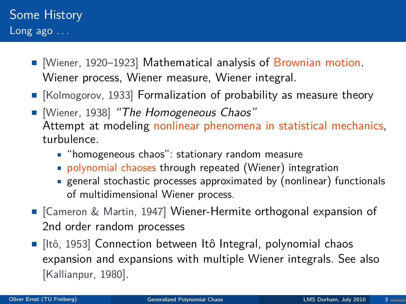- **[Wiener, 1920–1923] Mathematical analysis of Brownian motion.** Wiener process, Wiener measure, Wiener integral.
- $\blacksquare$  [Kolmogorov, 1933] Formalization of probability as measure theory
- **[Wiener, 1938] "The Homogeneous Chaos"** Attempt at modeling nonlinear phenomena in statistical mechanics, turbulence.
	- "homogeneous chaos": stationary random measure
	- polynomial chaoses through repeated (Wiener) integration
	- general stochastic processes approximated by (nonlinear) functionals of multidimensional Wiener process.
- [Cameron & Martin, 1947] Wiener-Hermite orthogonal expansion of 2nd order random processes
- $\blacksquare$  [Itô, 1953] Connection between Itô Integral, polynomial chaos expansion and expansions with multiple Wiener integrals. See also [Kallianpur, 1980].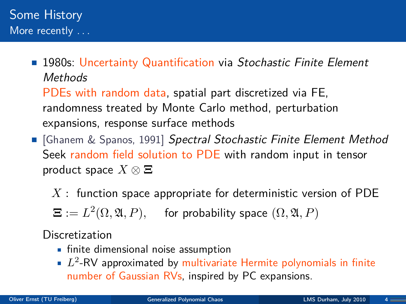**1980s: Uncertainty Quantification via Stochastic Finite Element Methods** PDEs with random data, spatial part discretized via FE,

randomness treated by Monte Carlo method, perturbation expansions, response surface methods

- Ghanem & Spanos, 1991] Spectral Stochastic Finite Element Method Seek random field solution to PDE with random input in tensor product space *X* ⊗ **Ξ**
	- *X* : function space appropriate for deterministic version of PDE

 $\boldsymbol{\Xi} := L^2(\Omega, \mathfrak{A}, P),$  for probability space  $(\Omega, \mathfrak{A}, P)$ 

Discretization

- **finite dimensional noise assumption**
- *L* 2 -RV approximated by multivariate Hermite polynomials in finite number of Gaussian RVs, inspired by PC expansions.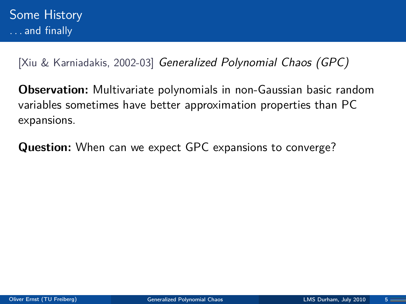[Xiu & Karniadakis, 2002-03] Generalized Polynomial Chaos (GPC)

**Observation:** Multivariate polynomials in non-Gaussian basic random variables sometimes have better approximation properties than PC expansions.

**Question:** When can we expect GPC expansions to converge?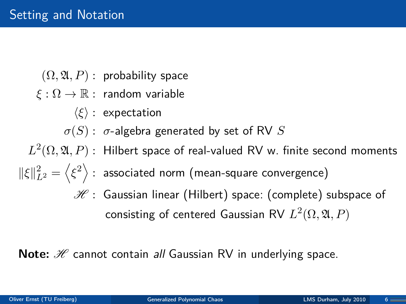$(\Omega, \mathfrak{A}, P)$ : probability space

- *ξ* : Ω → R : random variable
	- $\langle \xi \rangle$  : expectation
	- $\sigma(S)$ :  $\sigma$ -algebra generated by set of RV *S*

 $L^2(\Omega,\mathfrak{A},P)$  : Hilbert space of real-valued RV w. finite second moments

- $\|\xi\|_{L^2}^2 = \left\langle \xi^2 \right\rangle$  : associated norm (mean-square convergence)
	- $\mathscr H$ : Gaussian linear (Hilbert) space: (complete) subspace of  $\mathsf{consisting}$  of centered Gaussian RV  $L^2(\Omega,\mathfrak{A},P)$

**Note:** H cannot contain all Gaussian RV in underlying space.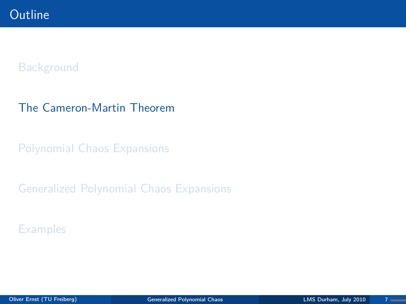#### **[Background](#page-2-0)**

#### [The Cameron-Martin Theorem](#page-7-0)

[Polynomial Chaos Expansions](#page-11-0)

[Generalized Polynomial Chaos Expansions](#page-16-0)

<span id="page-7-0"></span>**[Examples](#page-24-0)**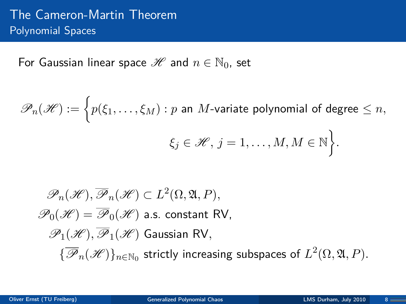For Gaussian linear space  $\mathscr{H}$  and  $n \in \mathbb{N}_0$ , set

 $\mathscr{P}_n(\mathscr{H}) := \Big\{ p(\xi_1,\ldots,\xi_M) : p \text{ an } M \text{-variable polynomial of degree } \leq n,$  $\xi_j \in \mathscr{H}, j = 1, \ldots, M, M \in \mathbb{N}$ .

$$
\mathcal{P}_n(\mathcal{H}), \overline{\mathcal{P}}_n(\mathcal{H}) \subset L^2(\Omega, \mathfrak{A}, P),
$$
  
\n
$$
\mathcal{P}_0(\mathcal{H}) = \overline{\mathcal{P}}_0(\mathcal{H})
$$
 a.s. constant RV,  
\n
$$
\mathcal{P}_1(\mathcal{H}), \overline{\mathcal{P}}_1(\mathcal{H})
$$
 Gaussian RV,  
\n
$$
\{\overline{\mathcal{P}}_n(\mathcal{H})\}_{n \in \mathbb{N}_0}
$$
 strictly increasing subspaces of  $L^2(\Omega, \mathfrak{A}, P)$ .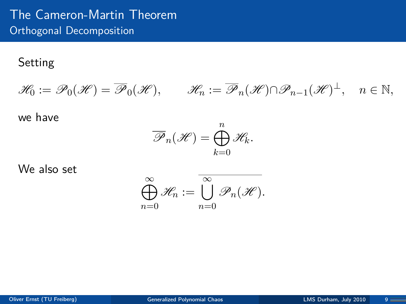## The Cameron-Martin Theorem Orthogonal Decomposition

#### Setting

$$
\mathscr{H}_0 := \mathscr{P}_0(\mathscr{H}) = \overline{\mathscr{P}}_0(\mathscr{H}), \qquad \mathscr{H}_n := \overline{\mathscr{P}}_n(\mathscr{H}) \cap \mathscr{P}_{n-1}(\mathscr{H})^{\perp}, \quad n \in \mathbb{N},
$$

we have

$$
\overline{\mathscr{P}}_n(\mathscr{H}) = \bigoplus_{k=0}^n \mathscr{H}_k.
$$

We also set

$$
\bigoplus_{n=0}^{\infty} \mathscr{H}_n := \overline{\bigcup_{n=0}^{\infty} \mathscr{P}_n(\mathscr{H})}.
$$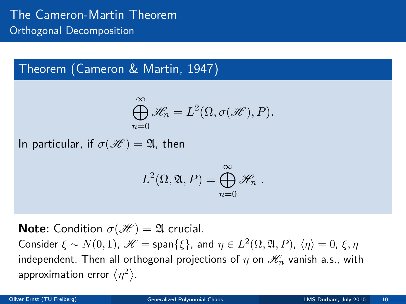# Theorem (Cameron & Martin, 1947)

$$
\bigoplus_{n=0}^{\infty} \mathscr{H}_n = L^2(\Omega, \sigma(\mathscr{H}), P).
$$

In particular, if  $\sigma(\mathscr{H}) = \mathfrak{A}$ , then

$$
L^2(\Omega, \mathfrak{A}, P) = \bigoplus_{n=0}^{\infty} \mathscr{H}_n.
$$

**Note:** Condition  $\sigma(\mathcal{H}) = \mathfrak{A}$  crucial.  $\mathcal{L}$  Consider  $\xi \sim N(0, 1)$ ,  $\mathscr{H} = \mathsf{span}\{\xi\}$ , and  $\eta \in L^2(\Omega, \mathfrak{A}, P)$ ,  $\langle \eta \rangle = 0$ ,  $\xi, \eta$ independent. Then all orthogonal projections of  $\eta$  on  $\mathcal{H}_n$  vanish a.s., with approximation error  $\langle \eta^2 \rangle$ .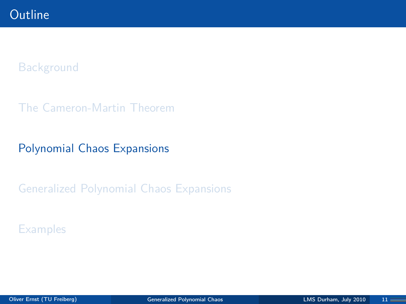#### **[Background](#page-2-0)**

[The Cameron-Martin Theorem](#page-7-0)

### [Polynomial Chaos Expansions](#page-11-0)

[Generalized Polynomial Chaos Expansions](#page-16-0)

<span id="page-11-0"></span>**[Examples](#page-24-0)**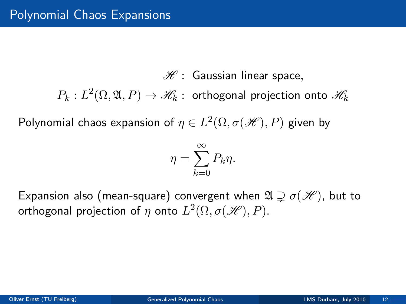$\mathscr{H}$  : Gaussian linear space,

 $P_k: L^2(\Omega,\mathfrak{A},P)\rightarrow \mathscr{H}_k:$  orthogonal projection onto  $\mathscr{H}_k$ 

 $\mathsf{Polynomial}$  chaos expansion of  $\eta \in L^2(\Omega, \sigma(\mathscr{H}), P)$  given by

$$
\eta = \sum_{k=0}^{\infty} P_k \eta.
$$

Expansion also (mean-square) convergent when  $\mathfrak{A} \supseteq \sigma(\mathcal{H})$ , but to orthogonal projection of  $\eta$  onto  $L^2(\Omega, \sigma(\mathscr{H}), P).$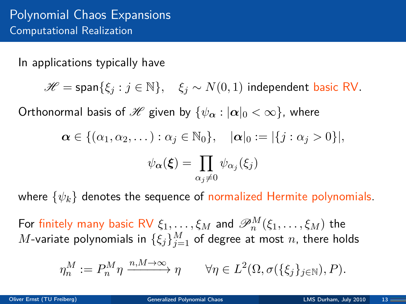In applications typically have

 $\mathscr{H} = \text{span}\{\xi_i : j \in \mathbb{N}\}, \quad \xi_j \sim N(0,1)$  independent basic RV.

Orthonormal basis of H given by  ${\psi_{\alpha}: |\alpha|_0 < \infty}$ , where

$$
\alpha \in \{(\alpha_1, \alpha_2, \dots) : \alpha_j \in \mathbb{N}_0\}, \quad |\alpha|_0 := |\{j : \alpha_j > 0\}|,
$$

$$
\psi_{\alpha}(\xi) = \prod_{\alpha_j \neq 0} \psi_{\alpha_j}(\xi_j)
$$

where {*ψk*} denotes the sequence of normalized Hermite polynomials.

For finitely many basic RV  $\xi_1,\ldots,\xi_M$  and  $\mathscr{P}_n^M(\xi_1,\ldots,\xi_M)$  the  $M$ -variate polynomials in  $\{\xi_j\}_{j=1}^M$  of degree at most  $n$ , there holds

$$
\eta^M_n:=P^M_n\eta\xrightarrow{n,M\to\infty}\eta\qquad\forall\eta\in L^2(\Omega,\sigma(\{\xi_j\}_{j\in\mathbb{N}}),P).
$$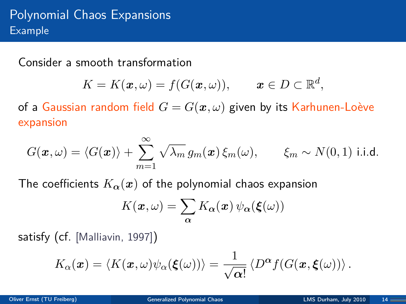Consider a smooth transformation

$$
K=K(\boldsymbol{x},\omega)=f(G(\boldsymbol{x},\omega)),\qquad \boldsymbol{x}\in D\subset\mathbb{R}^d,
$$

of a Gaussian random field  $G = G(x, \omega)$  given by its Karhunen-Loève expansion

$$
G(\boldsymbol{x},\omega) = \langle G(\boldsymbol{x}) \rangle + \sum_{m=1}^{\infty} \sqrt{\lambda_m} g_m(\boldsymbol{x}) \, \xi_m(\omega), \qquad \xi_m \sim N(0,1) \text{ i.i.d.}
$$

The coefficients  $K_{\alpha}(x)$  of the polynomial chaos expansion

$$
K(\boldsymbol{x},\omega) = \sum_{\alpha} K_{\alpha}(\boldsymbol{x}) \psi_{\alpha}(\boldsymbol{\xi}(\omega))
$$

satisfy (cf. [Malliavin, 1997])

$$
K_{\alpha}(\boldsymbol{x}) = \langle K(\boldsymbol{x},\omega)\psi_{\alpha}(\boldsymbol{\xi}(\omega))\rangle = \frac{1}{\sqrt{\alpha!}}\left\langle D^{\alpha}f(G(\boldsymbol{x},\boldsymbol{\xi}(\omega)))\right\rangle.
$$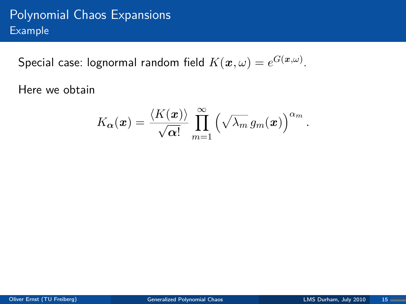# Polynomial Chaos Expansions Example

 ${\sf Special\ case:}$  lognormal random field  $K(\boldsymbol{x},\omega)=e^{G(\boldsymbol{x},\omega)}.$ 

Here we obtain

$$
K_{\alpha}(\boldsymbol{x}) = \frac{\langle K(\boldsymbol{x}) \rangle}{\sqrt{\alpha!}} \prod_{m=1}^{\infty} \left( \sqrt{\lambda_m} \, g_m(\boldsymbol{x}) \right)^{\alpha_m}
$$

*.*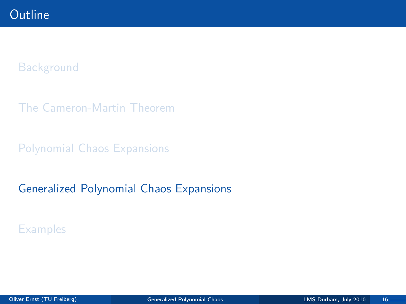#### **[Background](#page-2-0)**

[The Cameron-Martin Theorem](#page-7-0)

[Polynomial Chaos Expansions](#page-11-0)

#### [Generalized Polynomial Chaos Expansions](#page-16-0)

<span id="page-16-0"></span>**[Examples](#page-24-0)**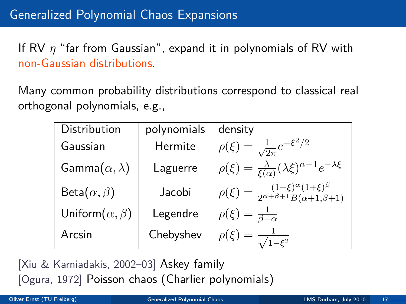If RV *η* "far from Gaussian", expand it in polynomials of RV with non-Gaussian distributions.

Many common probability distributions correspond to classical real orthogonal polynomials, e.g.,

| Distribution              | polynomials | density                                                                                     |
|---------------------------|-------------|---------------------------------------------------------------------------------------------|
| Gaussian                  | Hermite     | $\rho(\xi) = \frac{1}{\sqrt{2\pi}}e^{-\xi^2/2}$                                             |
| Gamma $(\alpha, \lambda)$ | Laguerre    | $\rho(\xi) = \frac{\lambda}{\xi(\alpha)} (\lambda \xi)^{\alpha - 1} e^{-\lambda \xi}$       |
| Beta $(\alpha, \beta)$    | Jacobi      | $\rho(\xi) = \frac{(1-\xi)^{\alpha}(1+\xi)^{\beta}}{2^{\alpha+\beta+1}B(\alpha+1,\beta+1)}$ |
| Uniform $(\alpha, \beta)$ | Legendre    | $\rho(\xi) = \frac{1}{\beta - \alpha}$                                                      |
| Arcsin                    | Chebyshev   | $\rho(\xi) = -\frac{1}{\sqrt{2}}$                                                           |

[Xiu & Karniadakis, 2002–03] Askey family [Ogura, 1972] Poisson chaos (Charlier polynomials)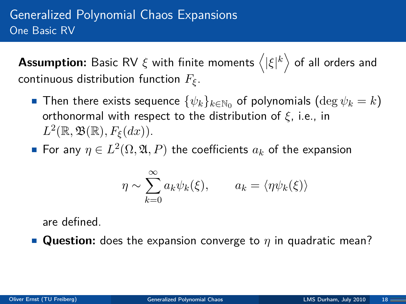${\sf Assumption:}$  Basic RV  $\xi$  with finite moments  $\left\langle |\xi|^k \right\rangle$  of all orders and continuous distribution function *Fξ*.

- Then there exists sequence  $\{\psi_k\}_{k\in\mathbb{N}_0}$  of polynomials  $(\deg \psi_k = k)$ orthonormal with respect to the distribution of *ξ*, i.e., in  $L^2(\mathbb{R}, \mathfrak{B}(\mathbb{R}), F_{\xi}(dx)).$
- For any  $\eta \in L^2(\Omega, \mathfrak{A}, P)$  the coefficients  $a_k$  of the expansion

$$
\eta \sim \sum_{k=0}^{\infty} a_k \psi_k(\xi), \qquad a_k = \langle \eta \psi_k(\xi) \rangle
$$

are defined.

■ **Question:** does the expansion converge to *η* in quadratic mean?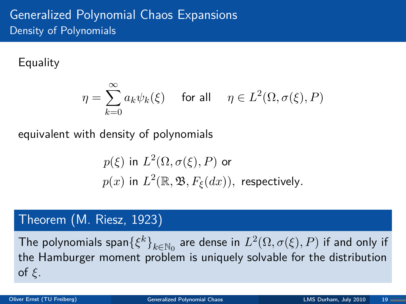#### **Equality**

$$
\eta = \sum_{k=0}^\infty a_k \psi_k(\xi) \quad \text{ for all }\quad \eta \in L^2(\Omega, \sigma(\xi), P)
$$

equivalent with density of polynomials

$$
p(\xi) \text{ in } L^2(\Omega, \sigma(\xi), P) \text{ or}
$$
  

$$
p(x) \text{ in } L^2(\mathbb{R}, \mathfrak{B}, F_{\xi}(dx)), \text{ respectively.}
$$

### Theorem (M. Riesz, 1923)

The polynomials span $\{\xi^k\}_{k\in\mathbb{N}_0}$  are dense in  $L^2(\Omega, \sigma(\xi), P)$  if and only if the Hamburger moment problem is uniquely solvable for the distribution of *ξ*.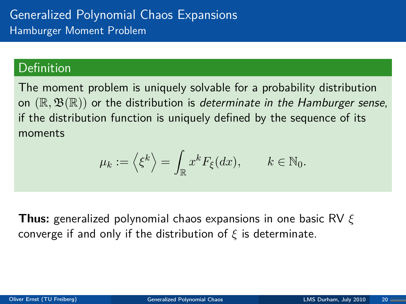#### Definition

The moment problem is uniquely solvable for a probability distribution on  $(\mathbb{R}, \mathfrak{B}(\mathbb{R}))$  or the distribution is determinate in the Hamburger sense, if the distribution function is uniquely defined by the sequence of its moments

$$
\mu_k := \left\langle \xi^k \right\rangle = \int_{\mathbb{R}} x^k F_{\xi}(dx), \qquad k \in \mathbb{N}_0.
$$

**Thus:** generalized polynomial chaos expansions in one basic RV *ξ* converge if and only if the distribution of *ξ* is determinate.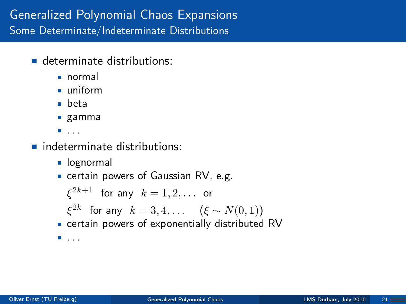- determinate distributions:
	- normal
	- uniform
	- beta
	- gamma
	- $\blacksquare$  . . .
- nindeterminate distributions:
	- **Demondent**
	- certain powers of Gaussian RV, e.g.

```
\xi^{2k+1} for any k=1,2,\ldots or
  ξ<sup>2k</sup> for any k = 3, 4, \ldots (ξ ∼ N(0, 1))
certain powers of exponentially distributed RV
\blacksquare...
```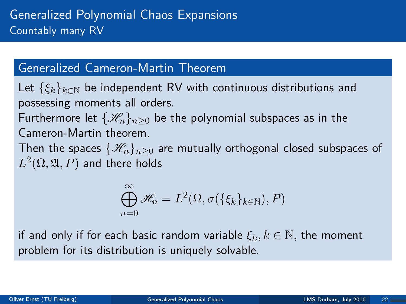#### Generalized Cameron-Martin Theorem

Let  $\{\xi_k\}_{k\in\mathbb{N}}$  be independent RV with continuous distributions and possessing moments all orders.

Furthermore let  $\{\mathcal{H}_n\}_{n>0}$  be the polynomial subspaces as in the Cameron-Martin theorem.

Then the spaces  $\{\mathcal{H}_n\}_{n>0}$  are mutually orthogonal closed subspaces of  $L^2(\Omega,\mathfrak{A},P)$  and there holds

$$
\bigoplus_{n=0}^{\infty} \mathscr{H}_n = L^2(\Omega, \sigma(\{\xi_k\}_{k \in \mathbb{N}}), P)
$$

if and only if for each basic random variable  $\xi_k, k \in \mathbb{N}$ , the moment problem for its distribution is uniquely solvable.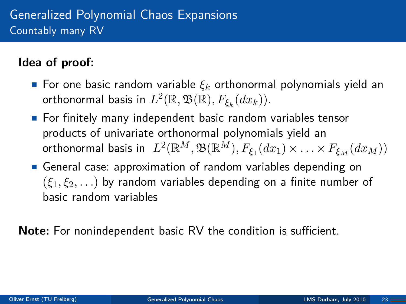## **Idea of proof:**

- For one basic random variable  $\xi_k$  orthonormal polynomials yield an  $\textsf{orthonormal basis}$  in  $L^2(\mathbb{R},\mathfrak{B}(\mathbb{R}),F_{\xi_k}(dx_k)).$
- **For finitely many independent basic random variables tensor** products of univariate orthonormal polynomials yield an  $\mathcal{L}^2(\mathbb{R}^M, \mathfrak{B}(\mathbb{R}^M), F_{\xi_1}(dx_1) \times \ldots \times F_{\xi_M}(dx_M))$
- General case: approximation of random variables depending on (*ξ*1*, ξ*2*, . . .*) by random variables depending on a finite number of basic random variables

**Note:** For nonindependent basic RV the condition is sufficient.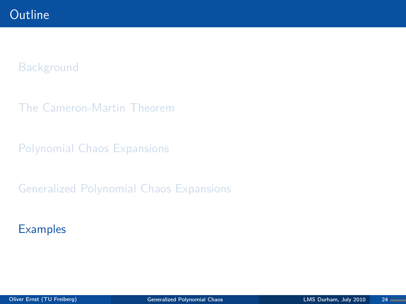#### **[Background](#page-2-0)**

[The Cameron-Martin Theorem](#page-7-0)

[Polynomial Chaos Expansions](#page-11-0)

[Generalized Polynomial Chaos Expansions](#page-16-0)

<span id="page-24-0"></span>**[Examples](#page-24-0)**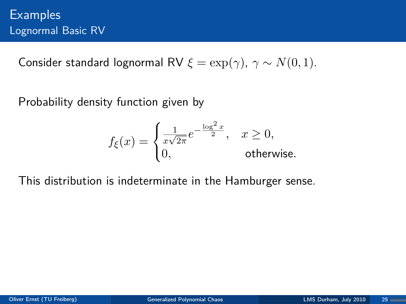Consider standard lognormal RV  $\xi = \exp(\gamma)$ ,  $\gamma \sim N(0, 1)$ .

Probability density function given by

$$
f_{\xi}(x) = \begin{cases} \frac{1}{x\sqrt{2\pi}}e^{-\frac{\log^2 x}{2}}, & x \ge 0, \\ 0, & \text{otherwise.} \end{cases}
$$

This distribution is indeterminate in the Hamburger sense.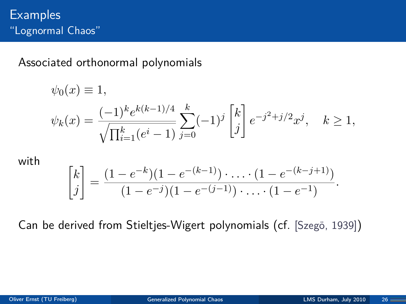Associated orthonormal polynomials

$$
\psi_0(x) \equiv 1,
$$
  

$$
\psi_k(x) = \frac{(-1)^k e^{k(k-1)/4}}{\sqrt{\prod_{i=1}^k (e^i - 1)}} \sum_{j=0}^k (-1)^j \begin{bmatrix} k \\ j \end{bmatrix} e^{-j^2 + j/2} x^j, \quad k \ge 1,
$$

with

$$
\begin{bmatrix} k \\ j \end{bmatrix} = \frac{(1 - e^{-k})(1 - e^{-(k-1)}) \cdot \ldots \cdot (1 - e^{-(k-j+1)})}{(1 - e^{-j})(1 - e^{-(j-1)}) \cdot \ldots \cdot (1 - e^{-1})}.
$$

Can be derived from Stieltjes-Wigert polynomials (cf. [Szegö, 1939])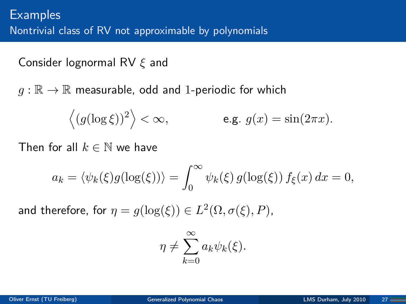Consider lognormal RV *ξ* and

 $q : \mathbb{R} \to \mathbb{R}$  measurable, odd and 1-periodic for which

$$
\langle (g(\log \xi))^2 \rangle < \infty,
$$
 e.g.  $g(x) = \sin(2\pi x).$ 

Then for all  $k \in \mathbb{N}$  we have

$$
a_k = \langle \psi_k(\xi)g(\log(\xi)) \rangle = \int_0^\infty \psi_k(\xi) g(\log(\xi)) f_{\xi}(x) dx = 0,
$$

and therefore, for  $\eta = g(\log(\xi)) \in L^2(\Omega, \sigma(\xi), P)$ ,

$$
\eta \neq \sum_{k=0}^{\infty} a_k \psi_k(\xi).
$$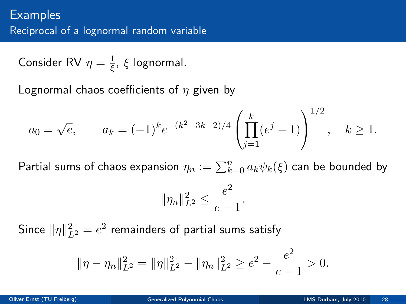Consider RV  $\eta = \frac{1}{5}$ *ξ* , *ξ* lognormal.

Lognormal chaos coefficients of *η* given by

$$
a_0 = \sqrt{e}
$$
,  $a_k = (-1)^k e^{-(k^2+3k-2)/4} \left( \prod_{j=1}^k (e^j - 1) \right)^{1/2}$ ,  $k \ge 1$ .

 $\mathsf{Partial} \ \mathsf{sum} \ \mathsf{of} \ \mathsf{chaos} \ \mathsf{expansion} \ \eta_n := \sum_{k=0}^n a_k \psi_k(\xi) \ \mathsf{can} \ \mathsf{be} \ \mathsf{bounded} \ \mathsf{by}$ 

$$
\|\eta_n\|_{L^2}^2 \le \frac{e^2}{e-1}.
$$

Since  $\|\eta\|_{L^2}^2 = e^2$  remainders of partial sums satisfy

$$
\|\eta - \eta_n\|_{L^2}^2 = \|\eta\|_{L^2}^2 - \|\eta_n\|_{L^2}^2 \ge e^2 - \frac{e^2}{e-1} > 0.
$$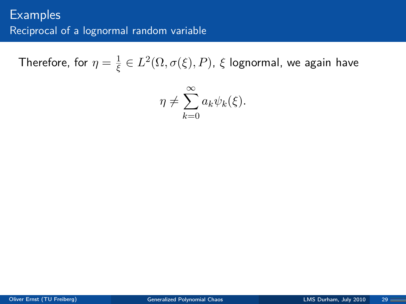Therefore, for  $\eta=\frac{1}{\varepsilon}$  $\frac{1}{\xi} \in L^2(\Omega, \sigma(\xi), P)$ ,  $\xi$  lognormal, we again have

$$
\eta \neq \sum_{k=0}^{\infty} a_k \psi_k(\xi).
$$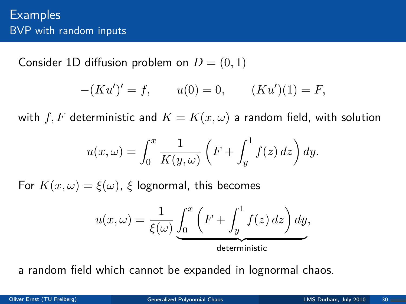Consider 1D diffusion problem on  $D = (0, 1)$ 

$$
-(Ku')' = f, \qquad u(0) = 0, \qquad (Ku')(1) = F,
$$

with  $f, F$  deterministic and  $K = K(x, \omega)$  a random field, with solution

$$
u(x,\omega) = \int_0^x \frac{1}{K(y,\omega)} \left( F + \int_y^1 f(z) \, dz \right) dy.
$$

For  $K(x,\omega) = \xi(\omega)$ ,  $\xi$  lognormal, this becomes

$$
u(x,\omega) = \frac{1}{\xi(\omega)} \underbrace{\int_0^x \left( F + \int_y^1 f(z) \, dz \right) dy}_{\text{deterministic}},
$$

a random field which cannot be expanded in lognormal chaos.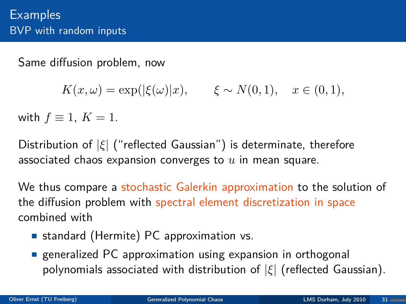Same diffusion problem, now

 $K(x, \omega) = \exp(|\xi(\omega)|x), \quad \xi \sim N(0, 1), \quad x \in (0, 1),$ 

with  $f \equiv 1, K = 1$ .

Distribution of |*ξ*| ("reflected Gaussian") is determinate, therefore associated chaos expansion converges to *u* in mean square.

We thus compare a stochastic Galerkin approximation to the solution of the diffusion problem with spectral element discretization in space combined with

- **standard (Hermite) PC approximation vs.**
- **E** generalized PC approximation using expansion in orthogonal polynomials associated with distribution of |*ξ*| (reflected Gaussian).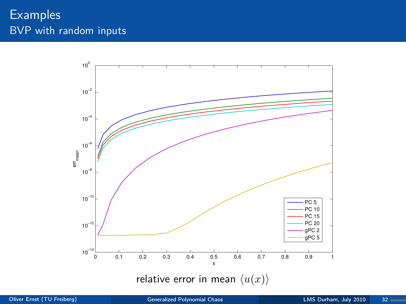## **Examples** BVP with random inputs

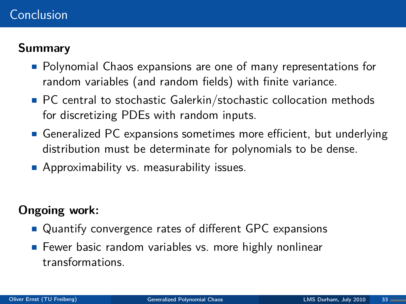#### Conclusion

#### **Summary**

- **Polynomial Chaos expansions are one of many representations for** random variables (and random fields) with finite variance.
- PC central to stochastic Galerkin/stochastic collocation methods for discretizing PDEs with random inputs.
- Generalized PC expansions sometimes more efficient, but underlying distribution must be determinate for polynomials to be dense.
- **Approximability vs. measurability issues.**

#### **Ongoing work:**

- Quantify convergence rates of different GPC expansions
- **Fewer basic random variables vs. more highly nonlinear** transformations.